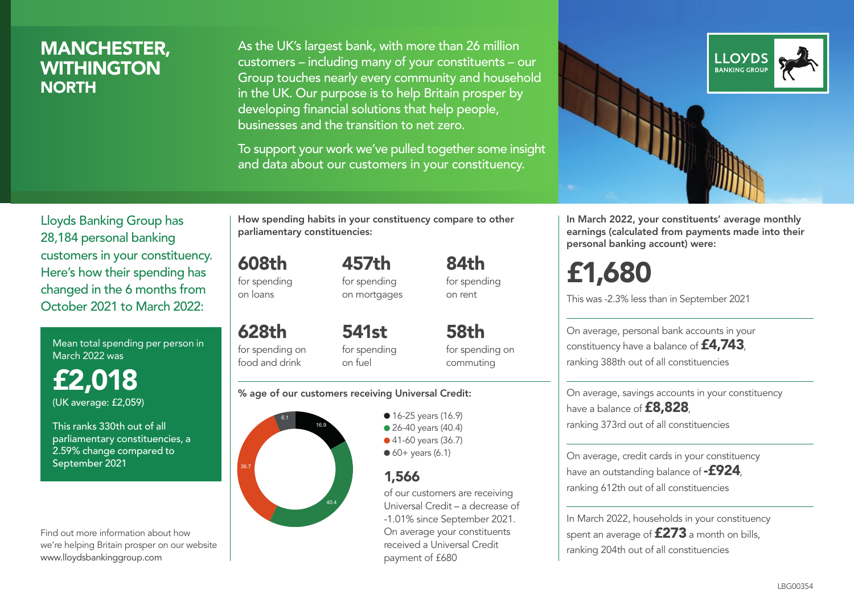## MANCHESTER, **WITHINGTON NORTH**

As the UK's largest bank, with more than 26 million customers – including many of your constituents – our Group touches nearly every community and household in the UK. Our purpose is to help Britain prosper by developing financial solutions that help people, businesses and the transition to net zero.

To support your work we've pulled together some insight and data about our customers in your constituency.



Mean total spending per person in March 2022 was

£2,018 (UK average: £2,059)

This ranks 330th out of all parliamentary constituencies, a 2.59% change compared to September 2021

Find out more information about how we're helping Britain prosper on our website www.lloydsbankinggroup.com

How spending habits in your constituency compare to other parliamentary constituencies:

608th for spending on loans

628th

for spending on mortgages

457th

84th for spending on rent

for spending on food and drink 541st for spending on fuel

for spending on commuting

58th

#### % age of our customers receiving Universal Credit:



• 16-25 years (16.9) • 26-40 years (40.4) ● 41-60 years (36.7)  $60+$  years (6.1)

### 1,566

of our customers are receiving Universal Credit – a decrease of -1.01% since September 2021. On average your constituents received a Universal Credit payment of £680



In March 2022, your constituents' average monthly earnings (calculated from payments made into their personal banking account) were:

# £1,680

This was -2.3% less than in September 2021

On average, personal bank accounts in your constituency have a balance of £4,743, ranking 388th out of all constituencies

On average, savings accounts in your constituency have a balance of **£8,828**, ranking 373rd out of all constituencies

On average, credit cards in your constituency have an outstanding balance of  $-$ £924, ranking 612th out of all constituencies

In March 2022, households in your constituency spent an average of  $£273$  a month on bills, ranking 204th out of all constituencies